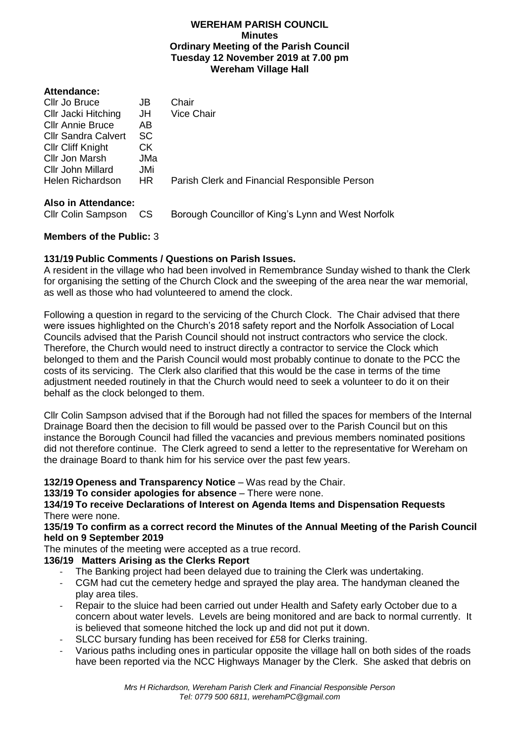#### **WEREHAM PARISH COUNCIL Minutes Ordinary Meeting of the Parish Council Tuesday 12 November 2019 at 7.00 pm Wereham Village Hall**

#### **Attendance:**

| Cllr Jo Bruce              | JB  | Chair                                         |
|----------------------------|-----|-----------------------------------------------|
| Cllr Jacki Hitching        | JH  | <b>Vice Chair</b>                             |
| <b>Cllr Annie Bruce</b>    | AB  |                                               |
| <b>Cllr Sandra Calvert</b> | SC  |                                               |
| <b>CIIr Cliff Knight</b>   | CK. |                                               |
| Cllr Jon Marsh             | JMa |                                               |
| Cllr John Millard          | JMi |                                               |
| Helen Richardson           | HR. | Parish Clerk and Financial Responsible Person |
|                            |     |                                               |

### **Also in Attendance:**

Cllr Colin Sampson CS Borough Councillor of King's Lynn and West Norfolk

# **Members of the Public:** 3

# **131/19 Public Comments / Questions on Parish Issues.**

A resident in the village who had been involved in Remembrance Sunday wished to thank the Clerk for organising the setting of the Church Clock and the sweeping of the area near the war memorial, as well as those who had volunteered to amend the clock.

Following a question in regard to the servicing of the Church Clock. The Chair advised that there were issues highlighted on the Church's 2018 safety report and the Norfolk Association of Local Councils advised that the Parish Council should not instruct contractors who service the clock. Therefore, the Church would need to instruct directly a contractor to service the Clock which belonged to them and the Parish Council would most probably continue to donate to the PCC the costs of its servicing. The Clerk also clarified that this would be the case in terms of the time adjustment needed routinely in that the Church would need to seek a volunteer to do it on their behalf as the clock belonged to them.

Cllr Colin Sampson advised that if the Borough had not filled the spaces for members of the Internal Drainage Board then the decision to fill would be passed over to the Parish Council but on this instance the Borough Council had filled the vacancies and previous members nominated positions did not therefore continue. The Clerk agreed to send a letter to the representative for Wereham on the drainage Board to thank him for his service over the past few years.

**132/19 Openess and Transparency Notice** – Was read by the Chair.

### **133/19 To consider apologies for absence** – There were none.

**134/19 To receive Declarations of Interest on Agenda Items and Dispensation Requests**  There were none.

### **135/19 To confirm as a correct record the Minutes of the Annual Meeting of the Parish Council held on 9 September 2019**

The minutes of the meeting were accepted as a true record.

# **136/19 Matters Arising as the Clerks Report**

- The Banking project had been delayed due to training the Clerk was undertaking.
- CGM had cut the cemetery hedge and sprayed the play area. The handyman cleaned the play area tiles.
- Repair to the sluice had been carried out under Health and Safety early October due to a concern about water levels. Levels are being monitored and are back to normal currently. It is believed that someone hitched the lock up and did not put it down.
- SLCC bursary funding has been received for £58 for Clerks training.
- Various paths including ones in particular opposite the village hall on both sides of the roads have been reported via the NCC Highways Manager by the Clerk. She asked that debris on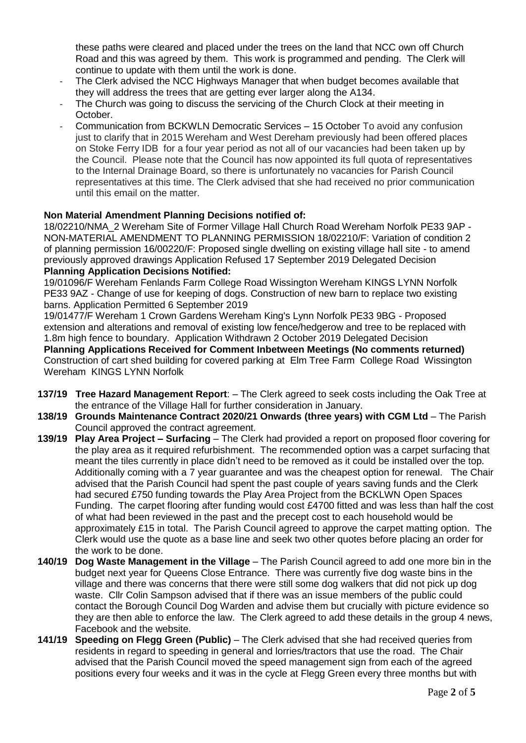these paths were cleared and placed under the trees on the land that NCC own off Church Road and this was agreed by them. This work is programmed and pending. The Clerk will continue to update with them until the work is done.

- The Clerk advised the NCC Highways Manager that when budget becomes available that they will address the trees that are getting ever larger along the A134.
- The Church was going to discuss the servicing of the Church Clock at their meeting in October.
- Communication from BCKWLN Democratic Services 15 October To avoid any confusion just to clarify that in 2015 Wereham and West Dereham previously had been offered places on Stoke Ferry IDB for a four year period as not all of our vacancies had been taken up by the Council. Please note that the Council has now appointed its full quota of representatives to the Internal Drainage Board, so there is unfortunately no vacancies for Parish Council representatives at this time. The Clerk advised that she had received no prior communication until this email on the matter.

## **Non Material Amendment Planning Decisions notified of:**

18/02210/NMA\_2 Wereham Site of Former Village Hall Church Road Wereham Norfolk PE33 9AP - NON-MATERIAL AMENDMENT TO PLANNING PERMISSION 18/02210/F: Variation of condition 2 of planning permission 16/00220/F: Proposed single dwelling on existing village hall site - to amend previously approved drawings Application Refused 17 September 2019 Delegated Decision **Planning Application Decisions Notified:**

19/01096/F Wereham Fenlands Farm College Road Wissington Wereham KINGS LYNN Norfolk PE33 9AZ - Change of use for keeping of dogs. Construction of new barn to replace two existing barns. Application Permitted 6 September 2019

19/01477/F Wereham 1 Crown Gardens Wereham King's Lynn Norfolk PE33 9BG - Proposed extension and alterations and removal of existing low fence/hedgerow and tree to be replaced with 1.8m high fence to boundary. Application Withdrawn 2 October 2019 Delegated Decision

**Planning Applications Received for Comment Inbetween Meetings (No comments returned)** Construction of cart shed building for covered parking at Elm Tree Farm College Road Wissington Wereham KINGS LYNN Norfolk

- **137/19 Tree Hazard Management Report**: The Clerk agreed to seek costs including the Oak Tree at the entrance of the Village Hall for further consideration in January.
- **138/19 Grounds Maintenance Contract 2020/21 Onwards (three years) with CGM Ltd** The Parish Council approved the contract agreement.
- **139/19 Play Area Project – Surfacing** The Clerk had provided a report on proposed floor covering for the play area as it required refurbishment. The recommended option was a carpet surfacing that meant the tiles currently in place didn't need to be removed as it could be installed over the top. Additionally coming with a 7 year guarantee and was the cheapest option for renewal. The Chair advised that the Parish Council had spent the past couple of years saving funds and the Clerk had secured £750 funding towards the Play Area Project from the BCKLWN Open Spaces Funding. The carpet flooring after funding would cost £4700 fitted and was less than half the cost of what had been reviewed in the past and the precept cost to each household would be approximately £15 in total. The Parish Council agreed to approve the carpet matting option. The Clerk would use the quote as a base line and seek two other quotes before placing an order for the work to be done.
- **140/19 Dog Waste Management in the Village** The Parish Council agreed to add one more bin in the budget next year for Queens Close Entrance. There was currently five dog waste bins in the village and there was concerns that there were still some dog walkers that did not pick up dog waste. Cllr Colin Sampson advised that if there was an issue members of the public could contact the Borough Council Dog Warden and advise them but crucially with picture evidence so they are then able to enforce the law. The Clerk agreed to add these details in the group 4 news, Facebook and the website.
- **141/19 Speeding on Flegg Green (Public)** The Clerk advised that she had received queries from residents in regard to speeding in general and lorries/tractors that use the road. The Chair advised that the Parish Council moved the speed management sign from each of the agreed positions every four weeks and it was in the cycle at Flegg Green every three months but with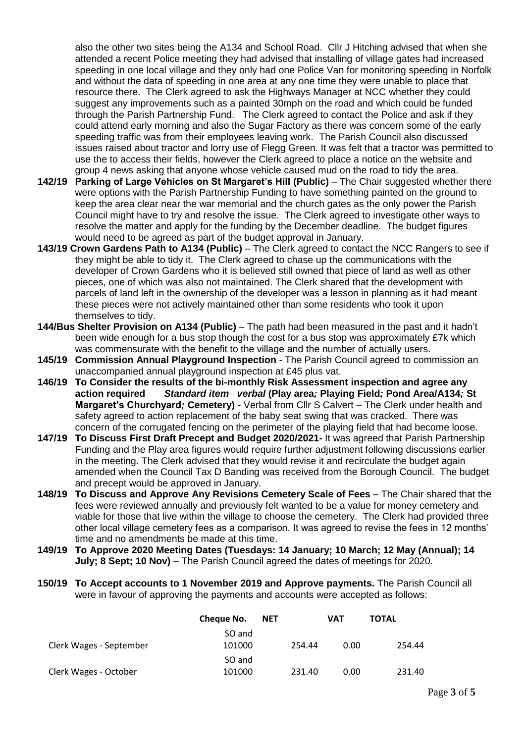also the other two sites being the A134 and School Road. Cllr J Hitching advised that when she attended a recent Police meeting they had advised that installing of village gates had increased speeding in one local village and they only had one Police Van for monitoring speeding in Norfolk and without the data of speeding in one area at any one time they were unable to place that resource there. The Clerk agreed to ask the Highways Manager at NCC whether they could suggest any improvements such as a painted 30mph on the road and which could be funded through the Parish Partnership Fund. The Clerk agreed to contact the Police and ask if they could attend early morning and also the Sugar Factory as there was concern some of the early speeding traffic was from their employees leaving work. The Parish Council also discussed issues raised about tractor and lorry use of Flegg Green. It was felt that a tractor was permitted to use the to access their fields, however the Clerk agreed to place a notice on the website and group 4 news asking that anyone whose vehicle caused mud on the road to tidy the area.

- **142/19 Parking of Large Vehicles on St Margaret's Hill (Public)** The Chair suggested whether there were options with the Parish Partnership Funding to have something painted on the ground to keep the area clear near the war memorial and the church gates as the only power the Parish Council might have to try and resolve the issue. The Clerk agreed to investigate other ways to resolve the matter and apply for the funding by the December deadline. The budget figures would need to be agreed as part of the budget approval in January.
- **143/19 Crown Gardens Path to A134 (Public)** The Clerk agreed to contact the NCC Rangers to see if they might be able to tidy it. The Clerk agreed to chase up the communications with the developer of Crown Gardens who it is believed still owned that piece of land as well as other pieces, one of which was also not maintained. The Clerk shared that the development with parcels of land left in the ownership of the developer was a lesson in planning as it had meant these pieces were not actively maintained other than some residents who took it upon themselves to tidy.
- **144/Bus Shelter Provision on A134 (Public)** The path had been measured in the past and it hadn't been wide enough for a bus stop though the cost for a bus stop was approximately £7k which was commensurate with the benefit to the village and the number of actually users.
- **145/19 Commission Annual Playground Inspection** The Parish Council agreed to commission an unaccompanied annual playground inspection at £45 plus vat.
- **146/19 To Consider the results of the bi-monthly Risk Assessment inspection and agree any action required** *Standard item**verbal* **(Play area***;* **Playing Field***;* **Pond Area/A134***;* **St Margaret's Churchyard***;* **Cemetery) -** Verbal from Cllr S Calvert – The Clerk under health and safety agreed to action replacement of the baby seat swing that was cracked. There was concern of the corrugated fencing on the perimeter of the playing field that had become loose.
- **147/19 To Discuss First Draft Precept and Budget 2020/2021-** It was agreed that Parish Partnership Funding and the Play area figures would require further adjustment following discussions earlier in the meeting. The Clerk advised that they would revise it and recirculate the budget again amended when the Council Tax D Banding was received from the Borough Council. The budget and precept would be approved in January.
- **148/19 To Discuss and Approve Any Revisions Cemetery Scale of Fees** The Chair shared that the fees were reviewed annually and previously felt wanted to be a value for money cemetery and viable for those that live within the village to choose the cemetery. The Clerk had provided three other local village cemetery fees as a comparison. It was agreed to revise the fees in 12 months' time and no amendments be made at this time.
- **149/19 To Approve 2020 Meeting Dates (Tuesdays: 14 January; 10 March; 12 May (Annual); 14 July; 8 Sept; 10 Nov)** – The Parish Council agreed the dates of meetings for 2020.
- **150/19 To Accept accounts to 1 November 2019 and Approve payments.** The Parish Council all were in favour of approving the payments and accounts were accepted as follows:

|                         | Cheque No. | <b>NET</b> |        | VAT  | <b>TOTAL</b> |
|-------------------------|------------|------------|--------|------|--------------|
|                         | SO and     |            |        |      |              |
| Clerk Wages - September | 101000     |            | 254.44 | 0.00 | 254.44       |
|                         | SO and     |            |        |      |              |
| Clerk Wages - October   | 101000     |            | 231.40 | 0.00 | 231.40       |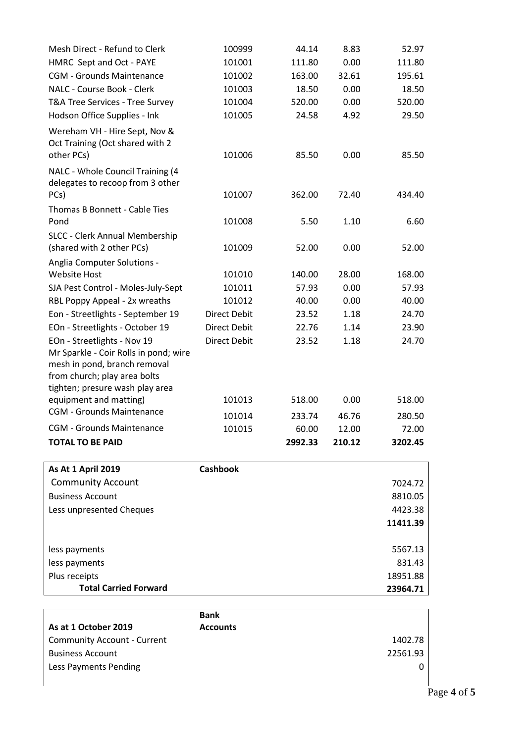| Mesh Direct - Refund to Clerk                                                                         | 100999              | 44.14   | 8.83   | 52.97    |
|-------------------------------------------------------------------------------------------------------|---------------------|---------|--------|----------|
| HMRC Sept and Oct - PAYE                                                                              | 101001              | 111.80  | 0.00   | 111.80   |
| <b>CGM - Grounds Maintenance</b>                                                                      | 101002              | 163.00  | 32.61  | 195.61   |
| NALC - Course Book - Clerk                                                                            | 101003              | 18.50   | 0.00   | 18.50    |
| T&A Tree Services - Tree Survey                                                                       | 101004              | 520.00  | 0.00   | 520.00   |
| Hodson Office Supplies - Ink                                                                          | 101005              | 24.58   | 4.92   | 29.50    |
| Wereham VH - Hire Sept, Nov &<br>Oct Training (Oct shared with 2<br>other PCs)                        | 101006              | 85.50   | 0.00   | 85.50    |
| NALC - Whole Council Training (4<br>delegates to recoop from 3 other<br>PCs)                          | 101007              | 362.00  | 72.40  | 434.40   |
| Thomas B Bonnett - Cable Ties                                                                         |                     |         |        |          |
| Pond                                                                                                  | 101008              | 5.50    | 1.10   | 6.60     |
| SLCC - Clerk Annual Membership<br>(shared with 2 other PCs)                                           | 101009              | 52.00   | 0.00   | 52.00    |
| Anglia Computer Solutions -                                                                           |                     |         |        |          |
| <b>Website Host</b>                                                                                   | 101010              | 140.00  | 28.00  | 168.00   |
| SJA Pest Control - Moles-July-Sept                                                                    | 101011              | 57.93   | 0.00   | 57.93    |
| RBL Poppy Appeal - 2x wreaths                                                                         | 101012              | 40.00   | 0.00   | 40.00    |
| Eon - Streetlights - September 19                                                                     | <b>Direct Debit</b> | 23.52   | 1.18   | 24.70    |
| EOn - Streetlights - October 19                                                                       | <b>Direct Debit</b> | 22.76   | 1.14   | 23.90    |
| EOn - Streetlights - Nov 19                                                                           | <b>Direct Debit</b> | 23.52   | 1.18   | 24.70    |
| Mr Sparkle - Coir Rolls in pond; wire<br>mesh in pond, branch removal<br>from church; play area bolts |                     |         |        |          |
| tighten; presure wash play area                                                                       |                     |         |        |          |
| equipment and matting)                                                                                | 101013              | 518.00  | 0.00   | 518.00   |
| <b>CGM - Grounds Maintenance</b>                                                                      | 101014              | 233.74  | 46.76  | 280.50   |
| <b>CGM - Grounds Maintenance</b>                                                                      | 101015              | 60.00   | 12.00  | 72.00    |
| <b>TOTAL TO BE PAID</b>                                                                               |                     | 2992.33 | 210.12 | 3202.45  |
| <b>As At 1 April 2019</b>                                                                             | <b>Cashbook</b>     |         |        |          |
| <b>Community Account</b>                                                                              |                     |         |        | 7024.72  |
| <b>Business Account</b>                                                                               |                     |         |        | 8810.05  |
| Less unpresented Cheques                                                                              |                     |         |        | 4423.38  |
|                                                                                                       |                     |         |        | 11411.39 |
| less payments                                                                                         |                     |         |        | 5567.13  |
| less payments                                                                                         |                     |         |        | 831.43   |
| Plus receipts                                                                                         |                     |         |        | 18951.88 |
| <b>Total Carried Forward</b>                                                                          |                     |         |        | 23964.71 |

|                                    | <b>Bank</b>     |   |
|------------------------------------|-----------------|---|
| As at 1 October 2019               | <b>Accounts</b> |   |
| <b>Community Account - Current</b> | 1402.78         |   |
| <b>Business Account</b>            | 22561.93        |   |
| Less Payments Pending              |                 | 0 |